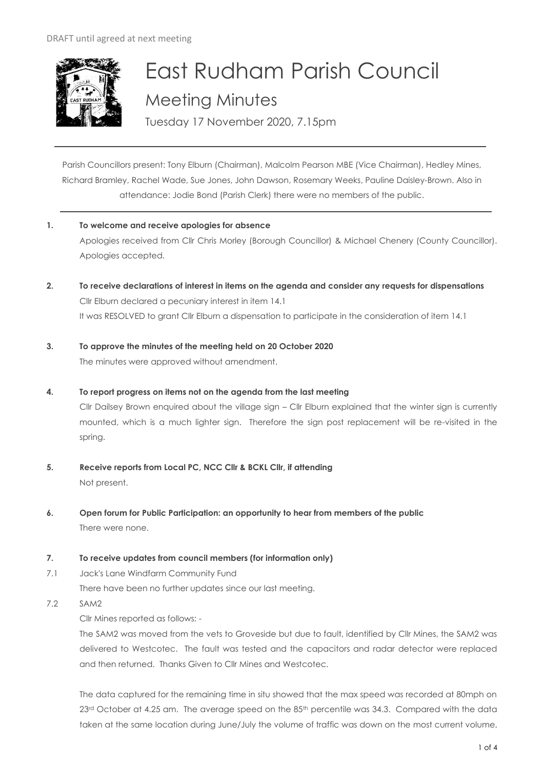

# East Rudham Parish Council Meeting Minutes

Tuesday 17 November 2020, 7.15pm

Parish Councillors present: Tony Elburn (Chairman), Malcolm Pearson MBE (Vice Chairman), Hedley Mines, Richard Bramley, Rachel Wade, Sue Jones, John Dawson, Rosemary Weeks, Pauline Daisley-Brown. Also in attendance: Jodie Bond (Parish Clerk) there were no members of the public.

- **1. To welcome and receive apologies for absence** Apologies received from Cllr Chris Morley (Borough Councillor) & Michael Chenery (County Councillor). Apologies accepted.
- **2. To receive declarations of interest in items on the agenda and consider any requests for dispensations**  Cllr Elburn declared a pecuniary interest in item 14.1 It was RESOLVED to grant Cllr Elburn a dispensation to participate in the consideration of item 14.1
- **3. To approve the minutes of the meeting held on 20 October 2020**  The minutes were approved without amendment.
- **4. To report progress on items not on the agenda from the last meeting**

Cllr Dailsey Brown enquired about the village sign – Cllr Elburn explained that the winter sign is currently mounted, which is a much lighter sign. Therefore the sign post replacement will be re-visited in the spring.

- **5. Receive reports from Local PC, NCC Cllr & BCKL Cllr, if attending** Not present.
- **6. Open forum for Public Participation: an opportunity to hear from members of the public** There were none.
- **7. To receive updates from council members (for information only)**

7.1 Jack's Lane Windfarm Community Fund There have been no further updates since our last meeting.

7.2 SAM2

Cllr Mines reported as follows: -

The SAM2 was moved from the vets to Groveside but due to fault, identified by Cllr Mines, the SAM2 was delivered to Westcotec. The fault was tested and the capacitors and radar detector were replaced and then returned. Thanks Given to Cllr Mines and Westcotec.

The data captured for the remaining time in situ showed that the max speed was recorded at 80mph on 23rd October at 4.25 am. The average speed on the 85<sup>th</sup> percentile was 34.3. Compared with the data taken at the same location during June/July the volume of traffic was down on the most current volume,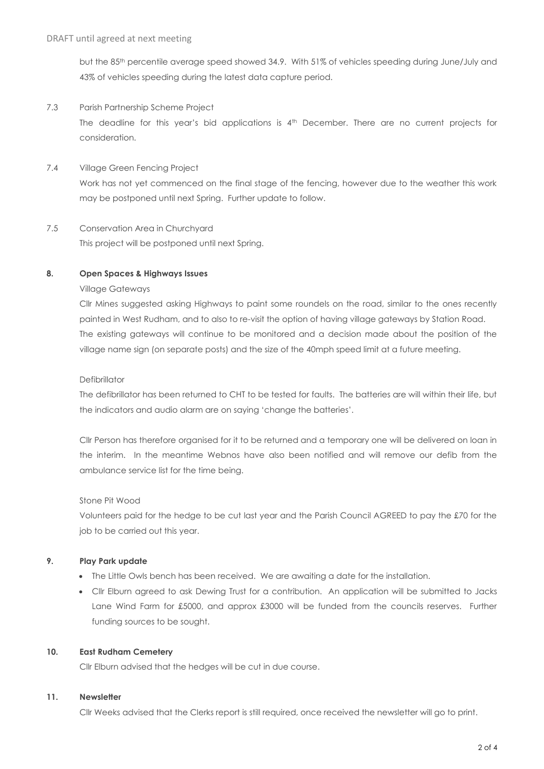but the 85<sup>th</sup> percentile average speed showed 34.9. With 51% of vehicles speeding during June/July and 43% of vehicles speeding during the latest data capture period.

#### 7.3 Parish Partnership Scheme Project

The deadline for this year's bid applications is 4<sup>th</sup> December. There are no current projects for consideration.

#### 7.4 Village Green Fencing Project

Work has not yet commenced on the final stage of the fencing, however due to the weather this work may be postponed until next Spring. Further update to follow.

# 7.5 Conservation Area in Churchyard This project will be postponed until next Spring.

#### **8. Open Spaces & Highways Issues**

#### Village Gateways

Cllr Mines suggested asking Highways to paint some roundels on the road, similar to the ones recently painted in West Rudham, and to also to re-visit the option of having village gateways by Station Road. The existing gateways will continue to be monitored and a decision made about the position of the village name sign (on separate posts) and the size of the 40mph speed limit at a future meeting.

#### Defibrillator

The defibrillator has been returned to CHT to be tested for faults. The batteries are will within their life, but the indicators and audio alarm are on saying 'change the batteries'.

Cllr Person has therefore organised for it to be returned and a temporary one will be delivered on loan in the interim. In the meantime Webnos have also been notified and will remove our defib from the ambulance service list for the time being.

#### Stone Pit Wood

Volunteers paid for the hedge to be cut last year and the Parish Council AGREED to pay the £70 for the job to be carried out this year.

# **9. Play Park update**

- The Little Owls bench has been received. We are awaiting a date for the installation.
- Cllr Elburn agreed to ask Dewing Trust for a contribution. An application will be submitted to Jacks Lane Wind Farm for £5000, and approx £3000 will be funded from the councils reserves. Further funding sources to be sought.

# **10. East Rudham Cemetery**

Cllr Elburn advised that the hedges will be cut in due course.

#### **11. Newsletter**

Cllr Weeks advised that the Clerks report is still required, once received the newsletter will go to print.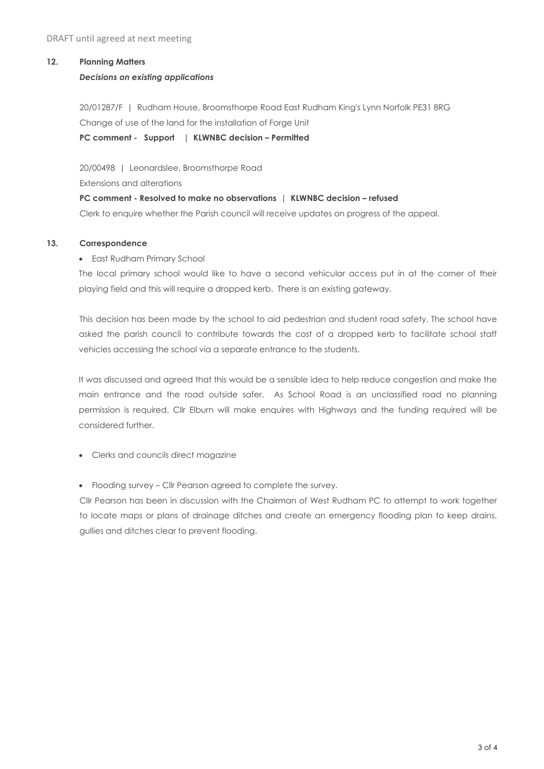#### **12. Planning Matters**

#### *Decisions on existing applications*

20/01287/F | Rudham House, Broomsthorpe Road East Rudham King's Lynn Norfolk PE31 8RG Change of use of the land for the installation of Forge Unit

**PC comment - Support | KLWNBC decision – Permitted**

20/00498 | Leonardslee, Broomsthorpe Road

Extensions and alterations

**PC comment - Resolved to make no observations | KLWNBC decision – refused**

Clerk to enquire whether the Parish council will receive updates on progress of the appeal.

#### **13. Correspondence**

## • East Rudham Primary School

The local primary school would like to have a second vehicular access put in at the corner of their playing field and this will require a dropped kerb. There is an existing gateway.

This decision has been made by the school to aid pedestrian and student road safety. The school have asked the parish council to contribute towards the cost of a dropped kerb to facilitate school staff vehicles accessing the school via a separate entrance to the students.

It was discussed and agreed that this would be a sensible idea to help reduce congestion and make the main entrance and the road outside safer. As School Road is an unclassified road no planning permission is required. Cllr Elburn will make enquires with Highways and the funding required will be considered further.

• Clerks and councils direct magazine

• Flooding survey – Cllr Pearson agreed to complete the survey.

Cllr Pearson has been in discussion with the Chairman of West Rudham PC to attempt to work together to locate maps or plans of drainage ditches and create an emergency flooding plan to keep drains, gullies and ditches clear to prevent flooding.